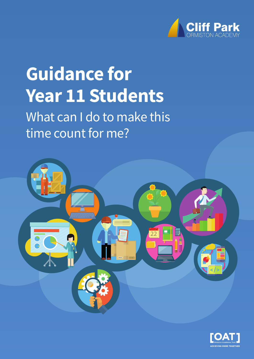

# **Guidance for Year 11 Students**

What can I do to make this time count for me?



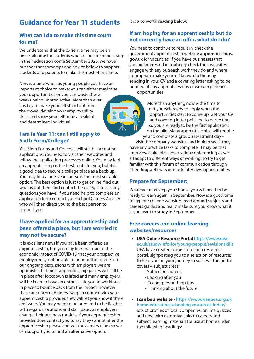# **Guidance for Year 11 students**

#### **What can I do to make this time count for me?**

We understand that the current time may be an uncertain one for students who are unsure of next step in their education come September 2020. We have put together some tips and advice below to support students and parents to make the most of this time.

Now is a time when as young people you have an important choice to make: you can either maximise your opportunities or you can waste these weeks being unproductive. More than ever it is key to make yourself stand out from the crowd, develop your employability skills and show yourself to be a resilient and determined individual.

#### **I am in Year 11; can I still apply to Sixth Form/College?**

Yes, Sixth Forms and Colleges will still be accepting applications. You need to visit their websites and follow the application processes online. You may feel an apprenticeship is the best route for you, but it is a good idea to secure a college place as a back-up. You may find a one-year course is the most suitable option. The best option is just to get online, find out what is out there and contact the colleges to ask any questions you have. If you need help to complete an application form contact your school Careers Adviser who will then direct you to the best person to support you.

## **I have applied for an apprenticeship and been offered a place, but I am worried it may not be secure?**

It is excellent news if you have been offered an apprenticeship, but you may fear that due to the economic impact of COVID-19 that your prospective employer may not be able to honour this offer. From our ongoing discussions with employers we are optimistic that most apprenticeship places will still be in place after lockdown is lifted and many employers will be keen to have an enthusiastic young workforce in place to bounce back from the impact, however these are uncertain times. Keep in contact with your apprenticeship provider, they will let you know if there are issues. You may need to be prepared to be flexible with regards locations and start dates as employers change their business models. If your apprenticeship provider does contact you to say they cannot offer the apprenticeship please contact the careers team so we can support you to find an alternative option.

It is also worth reading below:

### **If am hoping for an apprenticeship but do not currently have an offer, what do I do?**

You need to continue to regularly check the government apprenticeship website **apprenticeships. gov.uk** for vacancies. If you have businesses that you are interested in routinely check their websites, engage with any outreach work they do and where appropriate make yourself known to them by sending in your CV and a covering letter asking to be notified of any apprenticeships or work experience opportunities.

> More than anything now is the time to get yourself ready to apply when the opportunities start to come up. Get your CV and covering letter polished to perfection so you are ready to be the first application on the pile! Many apprenticeships will require you to complete a group assessment day -

visit the company websites and look to see if they have any practice tasks to complete. It may be that interviews take place over video conferencing as we all adapt to different ways of working, so try to get familiar with this forum of communication through attending webinars or mock interview opportunities.

# **Prepare for September:**

Whatever next step you choose you will need to be ready to learn again in September. Now is a good time to explore college websites, read around subjects and careers guides and really make sure you know what it is you want to study in September.

#### **Free careers and online learning websites/resources**

- **UEA Online Resource Portal https://www.uea. [ac.uk/study/info-for/young-people/revisionskills](https://www.uea.ac.uk/study/info-for/young-people/revisionskills)** UEA have created a one-stop-shop resources portal, signposting you to a selection of resources to help you on your journey to success. The portal covers 4 subject areas;
	- Subject resources
	- Looking after you
	- Techniques and top tips
	- Thinking about the future
- **I can be a website https://www.icanbea.org.uk home-educating-schooling-resources-index/** – lots of profiles of local companies, on line quizzes and now with extensive links to careers and subject learning materials for use at home under the following headings: